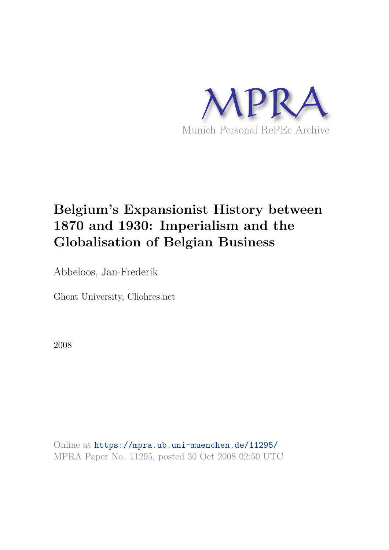

# **Belgium's Expansionist History between 1870 and 1930: Imperialism and the Globalisation of Belgian Business**

Abbeloos, Jan-Frederik

Ghent University, Cliohres.net

2008

Online at https://mpra.ub.uni-muenchen.de/11295/ MPRA Paper No. 11295, posted 30 Oct 2008 02:50 UTC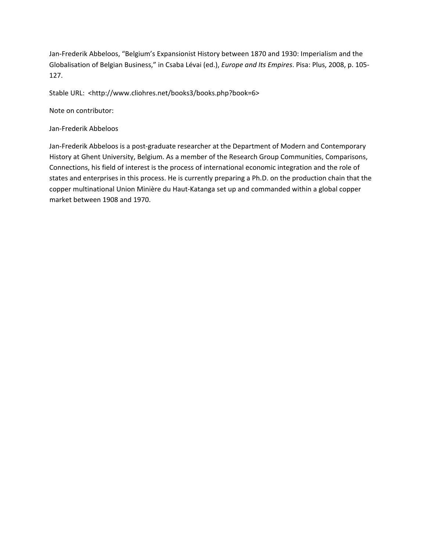Jan‐Frederik Abbeloos, "Belgium's Expansionist History between 1870 and 1930: Imperialism and the Globalisation of Belgian Business," in Csaba Lévai (ed.), *Europe and Its Empires*. Pisa: Plus, 2008, p. 105‐ 127.

Stable URL: <http://www.cliohres.net/books3/books.php?book=6>

Note on contributor:

Jan‐Frederik Abbeloos

Jan‐Frederik Abbeloos is a post‐graduate researcher at the Department of Modern and Contemporary History at Ghent University, Belgium. As a member of the Research Group Communities, Comparisons, Connections, his field of interest is the process of international economic integration and the role of states and enterprises in this process. He is currently preparing a Ph.D. on the production chain that the copper multinational Union Minière du Haut‐Katanga set up and commanded within a global copper market between 1908 and 1970.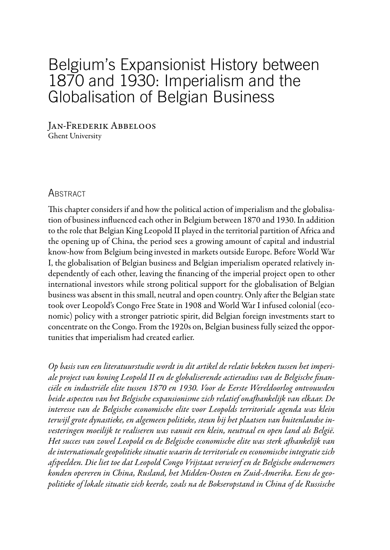# Belgium's Expansionist History between 1870 and 1930: Imperialism and the Globalisation of Belgian Business

Jan-Frederik Abbeloos

Ghent University

# **ABSTRACT**

This chapter considers if and how the political action of imperialism and the globalisation of business influenced each other in Belgium between 1870 and 1930. In addition to the role that Belgian King Leopold II played in the territorial partition of Africa and the opening up of China, the period sees a growing amount of capital and industrial know-how from Belgium being invested in markets outside Europe. Before World War I, the globalisation of Belgian business and Belgian imperialism operated relatively independently of each other, leaving the financing of the imperial project open to other international investors while strong political support for the globalisation of Belgian business was absent in this small, neutral and open country. Only after the Belgian state took over Leopold's Congo Free State in 1908 and World War I infused colonial (economic) policy with a stronger patriotic spirit, did Belgian foreign investments start to concentrate on the Congo. From the 1920s on, Belgian business fully seized the opportunities that imperialism had created earlier.

Op basis van een literatuurstudie wordt in dit artikel de relatie bekeken tussen het imperiale project van koning Leopold II en de globaliserende actieradius van de Belgische financiële en industriële elite tussen 1870 en 1930. Voor de Eerste Wereldoorlog ontvouwden beide aspecten van het Belgische expansionisme zich relatief onafhankelijk van elkaar. De interesse van de Belgische economische elite voor Leopolds territoriale agenda was klein terwijl grote dynastieke, en algemeen politieke, steun bij het plaatsen van buitenlandse investeringen moeilijk te realiseren was vanuit een klein, neutraal en open land als België. Het succes van zowel Leopold en de Belgische economische elite was sterk afhankelijk van de internationale geopolitieke situatie waarin de territoriale en economische integratie zich afspeelden. Die liet toe dat Leopold Congo Vrijstaat verwierf en de Belgische ondernemers konden opereren in China, Rusland, het Midden-Oosten en Zuid-Amerika. Eens de geopolitieke of lokale situatie zich keerde, zoals na de Bokseropstand in China of de Russische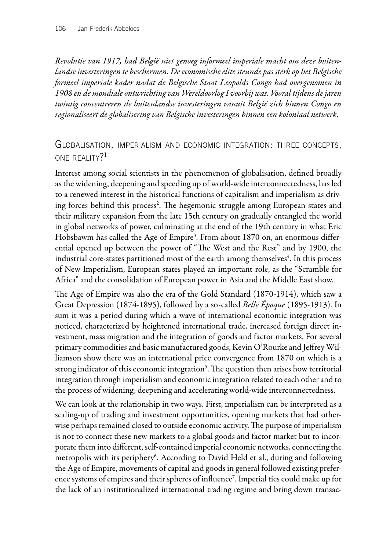Revolutie van 1917, had België niet genoeg informeel imperiale macht om deze buitenlandse investeringen te beschermen. De economische elite steunde pas sterk op het Belgische formeel imperiale kader nadat de Belgische Staat Leopolds Congo had overgenomen in 1908 en de mondiale ontwrichting van Wereldoorlog I voorbij was. Vooral tijdens de jaren twintig concentreren de buitenlandse investeringen vanuit België zich binnen Congo en regionaliseert de globalisering van Belgische investeringen binnen een koloniaal netwerk.

# GLOBALISATION, IMPERIALISM AND ECONOMIC INTEGRATION: THREE CONCEPTS, one reality? $1$

Interest among social scientists in the phenomenon of globalisation, defined broadly as the widening, deepening and speeding up of world-wide interconnectedness, has led to a renewed interest in the historical functions of capitalism and imperialism as driving forces behind this process<sup>2</sup>. The hegemonic struggle among European states and their military expansion from the late 15th century on gradually entangled the world in global networks of power, culminating at the end of the 19th century in what Eric Hobsbawm has called the Age of Empire<sup>3</sup>. From about 1870 on, an enormous differential opened up between the power of "The West and the Rest" and by 1900, the industrial core-states partitioned most of the earth among themselves $^4$ . In this process of New Imperialism, European states played an important role, as the "Scramble for Africa" and the consolidation of European power in Asia and the Middle East show.

The Age of Empire was also the era of the Gold Standard (1870-1914), which saw a Great Depression (1874-1895), followed by a so-called *Belle Époque* (1895-1913). In sum it was a period during which a wave of international economic integration was noticed, characterized by heightened international trade, increased foreign direct investment, mass migration and the integration of goods and factor markets. For several primary commodities and basic manufactured goods, Kevin O'Rourke and Jeffrey Williamson show there was an international price convergence from 1870 on which is a strong indicator of this economic integration<sup>5</sup>. The question then arises how territorial integration through imperialism and economic integration related to each other and to the process of widening, deepening and accelerating world-wide interconnectedness.

We can look at the relationship in two ways. First, imperialism can be interpreted as a scaling-up of trading and investment opportunities, opening markets that had otherwise perhaps remained closed to outside economic activity. The purpose of imperialism is not to connect these new markets to a global goods and factor market but to incorporate them into different, self-contained imperial economic networks, connecting the metropolis with its periphery<sup>6</sup>. According to David Held et al., during and following the Age of Empire, movements of capital and goods in general followed existing preference systems of empires and their spheres of influence<sup>7</sup> . Imperial ties could make up for the lack of an institutionalized international trading regime and bring down transac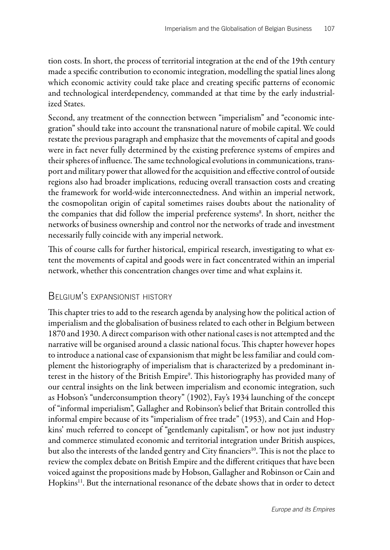tion costs. In short, the process of territorial integration at the end of the 19th century made a specific contribution to economic integration, modelling the spatial lines along which economic activity could take place and creating specific patterns of economic and technological interdependency, commanded at that time by the early industrialized States.

Second, any treatment of the connection between "imperialism" and "economic integration" should take into account the transnational nature of mobile capital. We could restate the previous paragraph and emphasize that the movements of capital and goods were in fact never fully determined by the existing preference systems of empires and their spheres of influence. The same technological evolutions in communications, transport and military power that allowed for the acquisition and effective control of outside regions also had broader implications, reducing overall transaction costs and creating the framework for world-wide interconnectedness. And within an imperial network, the cosmopolitan origin of capital sometimes raises doubts about the nationality of the companies that did follow the imperial preference systems<sup>8</sup>. In short, neither the networks of business ownership and control nor the networks of trade and investment necessarily fully coincide with any imperial network.

This of course calls for further historical, empirical research, investigating to what extent the movements of capital and goods were in fact concentrated within an imperial network, whether this concentration changes over time and what explains it.

# BELGIUM'S EXPANSIONIST HISTORY

This chapter tries to add to the research agenda by analysing how the political action of imperialism and the globalisation of business related to each other in Belgium between 1870 and 1930. A direct comparison with other national cases is not attempted and the narrative will be organised around a classic national focus. This chapter however hopes to introduce a national case of expansionism that might be less familiar and could complement the historiography of imperialism that is characterized by a predominant interest in the history of the British Empire<sup>9</sup>. This historiography has provided many of our central insights on the link between imperialism and economic integration, such as Hobson's "underconsumption theory" (1902), Fay's 1934 launching of the concept of "informal imperialism", Gallagher and Robinson's belief that Britain controlled this informal empire because of its "imperialism of free trade" (1953), and Cain and Hopkins' much referred to concept of "gentlemanly capitalism", or how not just industry and commerce stimulated economic and territorial integration under British auspices, but also the interests of the landed gentry and City financiers<sup>10</sup>. This is not the place to review the complex debate on British Empire and the different critiques that have been voiced against the propositions made by Hobson, Gallagher and Robinson or Cain and Hopkins<sup>11</sup>. But the international resonance of the debate shows that in order to detect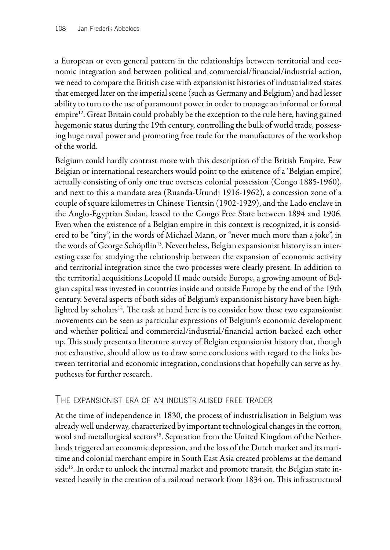a European or even general pattern in the relationships between territorial and economic integration and between political and commercial/financial/industrial action, we need to compare the British case with expansionist histories of industrialized states that emerged later on the imperial scene (such as Germany and Belgium) and had lesser ability to turn to the use of paramount power in order to manage an informal or formal empire<sup>12</sup>. Great Britain could probably be the exception to the rule here, having gained hegemonic status during the 19th century, controlling the bulk of world trade, possessing huge naval power and promoting free trade for the manufactures of the workshop of the world.

Belgium could hardly contrast more with this description of the British Empire. Few Belgian or international researchers would point to the existence of a 'Belgian empire', actually consisting of only one true overseas colonial possession (Congo 1885-1960), and next to this a mandate area (Ruanda-Urundi 1916-1962), a concession zone of a couple of square kilometres in Chinese Tientsin (1902-1929), and the Lado enclave in the Anglo-Egyptian Sudan, leased to the Congo Free State between 1894 and 1906. Even when the existence of a Belgian empire in this context is recognized, it is considered to be "tiny", in the words of Michael Mann, or "never much more than a joke", in the words of George Schöpflin13. Nevertheless, Belgian expansionist history is an interesting case for studying the relationship between the expansion of economic activity and territorial integration since the two processes were clearly present. In addition to the territorial acquisitions Leopold II made outside Europe, a growing amount of Belgian capital was invested in countries inside and outside Europe by the end of the 19th century. Several aspects of both sides of Belgium's expansionist history have been highlighted by scholars $14$ . The task at hand here is to consider how these two expansionist movements can be seen as particular expressions of Belgium's economic development and whether political and commercial/industrial/financial action backed each other up. This study presents a literature survey of Belgian expansionist history that, though not exhaustive, should allow us to draw some conclusions with regard to the links between territorial and economic integration, conclusions that hopefully can serve as hypotheses for further research.

#### THE EXPANSIONIST ERA OF AN INDUSTRIALISED FREE TRADER

At the time of independence in 1830, the process of industrialisation in Belgium was already well underway, characterized by important technological changes in the cotton, wool and metallurgical sectors<sup>15</sup>. Separation from the United Kingdom of the Netherlands triggered an economic depression, and the loss of the Dutch market and its maritime and colonial merchant empire in South East Asia created problems at the demand  $side^{16}$ . In order to unlock the internal market and promote transit, the Belgian state invested heavily in the creation of a railroad network from 1834 on. This infrastructural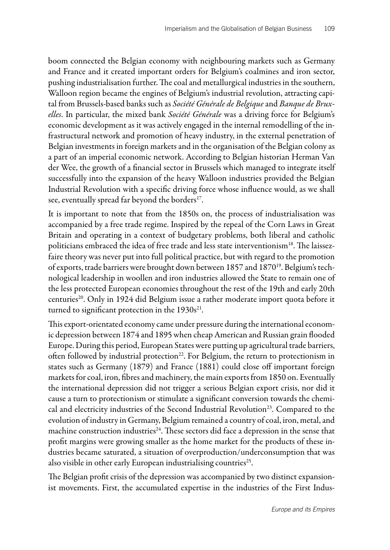boom connected the Belgian economy with neighbouring markets such as Germany and France and it created important orders for Belgium's coalmines and iron sector, pushing industrialisation further. The coal and metallurgical industries in the southern, Walloon region became the engines of Belgium's industrial revolution, attracting capital from Brussels-based banks such as Société Générale de Belgique and Banque de Bruxelles. In particular, the mixed bank Société Générale was a driving force for Belgium's economic development as it was actively engaged in the internal remodelling of the infrastructural network and promotion of heavy industry, in the external penetration of Belgian investments in foreign markets and in the organisation of the Belgian colony as a part of an imperial economic network. According to Belgian historian Herman Van der Wee, the growth of a financial sector in Brussels which managed to integrate itself successfully into the expansion of the heavy Walloon industries provided the Belgian Industrial Revolution with a specific driving force whose influence would, as we shall see, eventually spread far beyond the borders $^{\mathrm{17}}\!.$ 

It is important to note that from the 1850s on, the process of industrialisation was accompanied by a free trade regime. Inspired by the repeal of the Corn Laws in Great Britain and operating in a context of budgetary problems, both liberal and catholic politicians embraced the idea of free trade and less state interventionism<sup>18</sup>. The laissezfaire theory was never put into full political practice, but with regard to the promotion of exports, trade barriers were brought down between 1857 and 187019. Belgium's technological leadership in woollen and iron industries allowed the State to remain one of the less protected European economies throughout the rest of the 19th and early 20th centuries<sup>20</sup>. Only in 1924 did Belgium issue a rather moderate import quota before it turned to significant protection in the  $1930s^{21}$ .

This export-orientated economy came under pressure during the international economic depression between 1874 and 1895 when cheap American and Russian grain flooded Europe. During this period, European States were putting up agricultural trade barriers, often followed by industrial protection<sup>22</sup>. For Belgium, the return to protectionism in states such as Germany (1879) and France (1881) could close off important foreign markets for coal, iron, fibres and machinery, the main exports from 1850 on. Eventually the international depression did not trigger a serious Belgian export crisis, nor did it cause a turn to protectionism or stimulate a significant conversion towards the chemical and electricity industries of the Second Industrial Revolution<sup>23</sup>. Compared to the evolution of industry in Germany, Belgium remained a country of coal, iron, metal, and machine construction industries<sup>24</sup>. These sectors did face a depression in the sense that profit margins were growing smaller as the home market for the products of these industries became saturated, a situation of overproduction/underconsumption that was also visible in other early European industrialising countries<sup>25</sup>.

The Belgian profit crisis of the depression was accompanied by two distinct expansionist movements. First, the accumulated expertise in the industries of the First Indus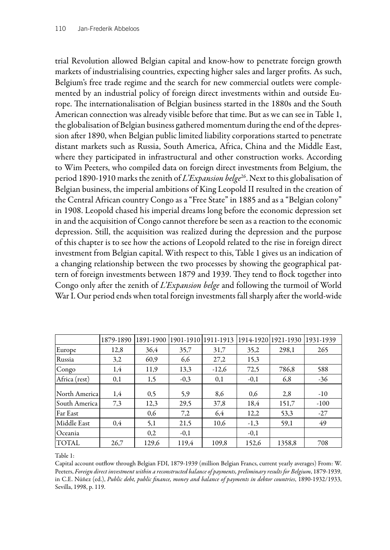trial Revolution allowed Belgian capital and know-how to penetrate foreign growth markets of industrialising countries, expecting higher sales and larger profits. As such, Belgium's free trade regime and the search for new commercial outlets were complemented by an industrial policy of foreign direct investments within and outside Europe. The internationalisation of Belgian business started in the 1880s and the South American connection was already visible before that time. But as we can see in Table 1, the globalisation of Belgian business gathered momentum during the end of the depression after 1890, when Belgian public limited liability corporations started to penetrate distant markets such as Russia, South America, Africa, China and the Middle East, where they participated in infrastructural and other construction works. According to Wim Peeters, who compiled data on foreign direct investments from Belgium, the period 1890-1910 marks the zenith of  $L'Expansion$  belge<sup>26</sup>. Next to this globalisation of Belgian business, the imperial ambitions of King Leopold II resulted in the creation of the Central African country Congo as a "Free State" in 1885 and as a "Belgian colony" in 1908. Leopold chased his imperial dreams long before the economic depression set in and the acquisition of Congo cannot therefore be seen as a reaction to the economic depression. Still, the acquisition was realized during the depression and the purpose of this chapter is to see how the actions of Leopold related to the rise in foreign direct investment from Belgian capital. With respect to this, Table 1 gives us an indication of a changing relationship between the two processes by showing the geographical pattern of foreign investments between 1879 and 1939. They tend to flock together into Congo only after the zenith of L'Expansion belge and following the turmoil of World War I. Our period ends when total foreign investments fall sharply after the world-wide

|                | 1879-1890 |       |        | 1891-1900   1901-1910   1911-1913 |        | 1914-1920 1921-1930 | 1931-1939 |
|----------------|-----------|-------|--------|-----------------------------------|--------|---------------------|-----------|
| Europe         | 12,8      | 36,4  | 35,7   | 31,7                              | 35,2   | 298,1               | 265       |
| Russia         | 3,2       | 60,9  | 6,6    | 27,2                              | 15,3   |                     |           |
| Congo          | 1,4       | 11,9  | 13,3   | $-12,6$                           | 72,5   | 786,8               | 588       |
| Africa (rest)  | 0,1       | 1,5   | $-0,3$ | 0,1                               | $-0,1$ | 6,8                 | $-36$     |
| North Americal | 1,4       | 0,5   | 5,9    | 8,6                               | 0,6    | 2,8                 | $-10$     |
| South America  | 7,3       | 12,3  | 29,5   | 37,8                              | 18,4   | 151,7               | $-100$    |
| Far East       |           | 0,6   | 7,2    | 6,4                               | 12,2   | 53,3                | $-27$     |
| Middle East    | 0,4       | 5,1   | 21,5   | 10,6                              | $-1,3$ | 59,1                | 49        |
| Oceania        |           | 0,2   | $-0,1$ |                                   | $-0,1$ |                     |           |
| <b>TOTAL</b>   | 26,7      | 129,6 | 119,4  | 109.8                             | 152,6  | 1358,8              | 708       |

Table 1:

Capital account outflow through Belgian FDI, 1879-1939 (million Belgian Francs, current yearly averages) From: W. Peeters, Foreign direct investment within a reconstructed balance of payments, preliminary results for Belgium, 1879-1939, in C.E. Núñez (ed.), Public debt, public finance, money and balance of payments in debtor countries, 1890-1932/1933, Sevilla, 1998, p. 119.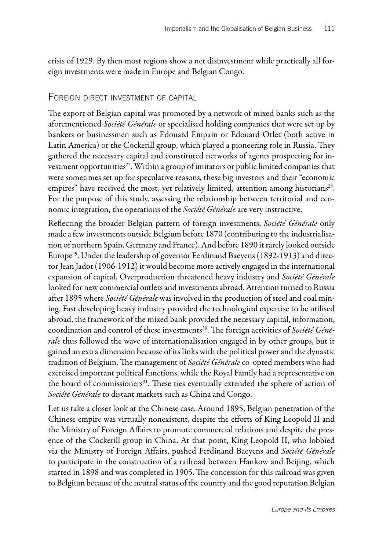crisis of 1929. By then most regions show a net disinvestment while practically all foreign investments were made in Europe and Belgian Congo.

#### FOREIGN DIRECT INVESTMENT OF CAPITAL

The export of Belgian capital was promoted by a network of mixed banks such as the aforementioned *Société Générale* or specialised holding companies that were set up by bankers or businessmen such as Edouard Empain or Edouard Otlet (both active in Latin America) or the Cockerill group, which played a pioneering role in Russia. They gathered the necessary capital and constituted networks of agents prospecting for investment opportunities<sup>27</sup>. Within a group of imitators or public limited companies that were sometimes set up for speculative reasons, these big investors and their "economic empires" have received the most, yet relatively limited, attention among historians<sup>28</sup>. For the purpose of this study, assessing the relationship between territorial and economic integration, the operations of the Société Générale are very instructive.

Reflecting the broader Belgian pattern of foreign investments, Société Générale only made a few investments outside Belgium before 1870 (contributing to the industrialisation of northern Spain, Germany and France). And before 1890 it rarely looked outside Europe<sup>29</sup>. Under the leadership of governor Ferdinand Baeyens (1892-1913) and director Jean Jadot (1906-1912) it would become more actively engaged in the international expansion of capital. Overproduction threatened heavy industry and Société Générale looked for new commercial outlets and investments abroad. Attention turned to Russia after 1895 where Société Générale was involved in the production of steel and coal mining. Fast developing heavy industry provided the technological expertise to be utilised abroad, the framework of the mixed bank provided the necessary capital, information, coordination and control of these investments<sup>30</sup>. The foreign activities of Société Générale thus followed the wave of internationalisation engaged in by other groups, but it gained an extra dimension because of its links with the political power and the dynastic tradition of Belgium. The management of Société Générale co-opted members who had exercised important political functions, while the Royal Family had a representative on the board of commissioners $31$ . These ties eventually extended the sphere of action of Société Générale to distant markets such as China and Congo.

Let us take a closer look at the Chinese case. Around 1895, Belgian penetration of the Chinese empire was virtually nonexistent, despite the efforts of King Leopold II and the Ministry of Foreign Affairs to promote commercial relations and despite the presence of the Cockerill group in China. At that point, King Leopold II, who lobbied via the Ministry of Foreign Affairs, pushed Ferdinand Baeyens and Société Générale to participate in the construction of a railroad between Hankow and Beijing, which started in 1898 and was completed in 1905. The concession for this railroad was given to Belgium because of the neutral status of the country and the good reputation Belgian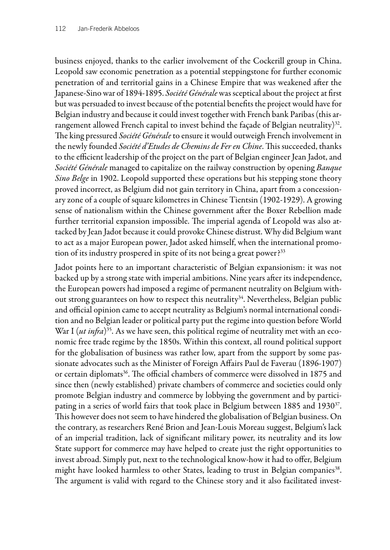business enjoyed, thanks to the earlier involvement of the Cockerill group in China. Leopold saw economic penetration as a potential steppingstone for further economic penetration of and territorial gains in a Chinese Empire that was weakened after the Japanese-Sino war of 1894-1895. Société Générale was sceptical about the project at first but was persuaded to invest because of the potential benefits the project would have for Belgian industry and because it could invest together with French bank Paribas (this arrangement allowed French capital to invest behind the façade of Belgian neutrality) $^{32}$ . The king pressured Société Générale to ensure it would outweigh French involvement in the newly founded Société d'Etudes de Chemins de Fer en Chine. This succeeded, thanks to the efficient leadership of the project on the part of Belgian engineer Jean Jadot, and Société Générale managed to capitalize on the railway construction by opening Banque Sino Belge in 1902. Leopold supported these operations but his stepping stone theory proved incorrect, as Belgium did not gain territory in China, apart from a concessionary zone of a couple of square kilometres in Chinese Tientsin (1902-1929). A growing sense of nationalism within the Chinese government after the Boxer Rebellion made further territorial expansion impossible. The imperial agenda of Leopold was also attacked by Jean Jadot because it could provoke Chinese distrust. Why did Belgium want to act as a major European power, Jadot asked himself, when the international promotion of its industry prospered in spite of its not being a great power?<sup>33</sup>

Jadot points here to an important characteristic of Belgian expansionism: it was not backed up by a strong state with imperial ambitions. Nine years after its independence, the European powers had imposed a regime of permanent neutrality on Belgium without strong guarantees on how to respect this neutrality<sup>34</sup>. Nevertheless, Belgian public and official opinion came to accept neutrality as Belgium's normal international condition and no Belgian leader or political party put the regime into question before World War I (*ut infra*)<sup>35</sup>. As we have seen, this political regime of neutrality met with an economic free trade regime by the 1850s. Within this context, all round political support for the globalisation of business was rather low, apart from the support by some passionate advocates such as the Minister of Foreign Affairs Paul de Faverau (1896-1907) or certain diplomats<sup>36</sup>. The official chambers of commerce were dissolved in 1875 and since then (newly established) private chambers of commerce and societies could only promote Belgian industry and commerce by lobbying the government and by participating in a series of world fairs that took place in Belgium between 1885 and 1930<sup>37</sup>. This however does not seem to have hindered the globalisation of Belgian business. On the contrary, as researchers René Brion and Jean-Louis Moreau suggest, Belgium's lack of an imperial tradition, lack of significant military power, its neutrality and its low State support for commerce may have helped to create just the right opportunities to invest abroad. Simply put, next to the technological know-how it had to offer, Belgium might have looked harmless to other States, leading to trust in Belgian companies<sup>38</sup>. The argument is valid with regard to the Chinese story and it also facilitated invest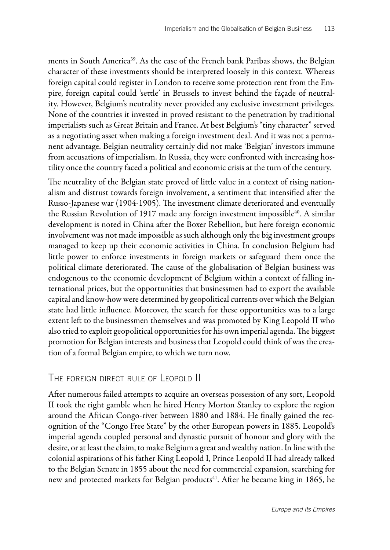ments in South America<sup>39</sup>. As the case of the French bank Paribas shows, the Belgian character of these investments should be interpreted loosely in this context. Whereas foreign capital could register in London to receive some protection rent from the Empire, foreign capital could 'settle' in Brussels to invest behind the façade of neutrality. However, Belgium's neutrality never provided any exclusive investment privileges. None of the countries it invested in proved resistant to the penetration by traditional imperialists such as Great Britain and France. At best Belgium's "tiny character" served as a negotiating asset when making a foreign investment deal. And it was not a permanent advantage. Belgian neutrality certainly did not make 'Belgian' investors immune from accusations of imperialism. In Russia, they were confronted with increasing hostility once the country faced a political and economic crisis at the turn of the century.

The neutrality of the Belgian state proved of little value in a context of rising nationalism and distrust towards foreign involvement, a sentiment that intensified after the Russo-Japanese war (1904-1905). The investment climate deteriorated and eventually the Russian Revolution of 1917 made any foreign investment impossible<sup>40</sup>. A similar development is noted in China after the Boxer Rebellion, but here foreign economic involvement was not made impossible as such although only the big investment groups managed to keep up their economic activities in China. In conclusion Belgium had little power to enforce investments in foreign markets or safeguard them once the political climate deteriorated. The cause of the globalisation of Belgian business was endogenous to the economic development of Belgium within a context of falling international prices, but the opportunities that businessmen had to export the available capital and know-how were determined by geopolitical currents over which the Belgian state had little influence. Moreover, the search for these opportunities was to a large extent left to the businessmen themselves and was promoted by King Leopold II who also tried to exploit geopolitical opportunities for his own imperial agenda. The biggest promotion for Belgian interests and business that Leopold could think of was the creation of a formal Belgian empire, to which we turn now.

# THE FOREIGN DIRECT RULE OF LEOPOLD II

After numerous failed attempts to acquire an overseas possession of any sort, Leopold II took the right gamble when he hired Henry Morton Stanley to explore the region around the African Congo-river between 1880 and 1884. He finally gained the recognition of the "Congo Free State" by the other European powers in 1885. Leopold's imperial agenda coupled personal and dynastic pursuit of honour and glory with the desire, or at least the claim, to make Belgium a great and wealthy nation. In line with the colonial aspirations of his father King Leopold I, Prince Leopold II had already talked to the Belgian Senate in 1855 about the need for commercial expansion, searching for new and protected markets for Belgian products<sup>41</sup>. After he became king in 1865, he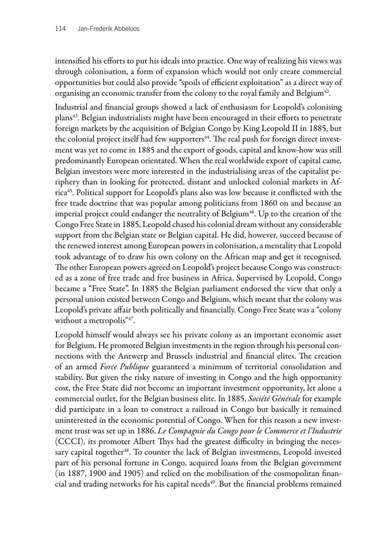intensified his efforts to put his ideals into practice. One way of realizing his views was through colonisation, a form of expansion which would not only create commercial opportunities but could also provide "spoils of efficient exploitation" as a direct way of organising an economic transfer from the colony to the royal family and Belgium $^{\rm 42}.$ 

Industrial and financial groups showed a lack of enthusiasm for Leopold's colonising plans<sup>43</sup>. Belgian industrialists might have been encouraged in their efforts to penetrate foreign markets by the acquisition of Belgian Congo by King Leopold II in 1885, but the colonial project itself had few supporters<sup>44</sup>. The real push for foreign direct investment was yet to come in 1885 and the export of goods, capital and know-how was still predominantly European orientated. When the real worldwide export of capital came, Belgian investors were more interested in the industrialising areas of the capitalist periphery than in looking for protected, distant and unlocked colonial markets in Africa<sup>45</sup>. Political support for Leopold's plans also was low because it conflicted with the free trade doctrine that was popular among politicians from 1860 on and because an imperial project could endanger the neutrality of Belgium<sup> $46$ </sup>. Up to the creation of the Congo Free State in 1885, Leopold chased his colonial dream without any considerable support from the Belgian state or Belgian capital. He did, however, succeed because of the renewed interest among European powers in colonisation, a mentality that Leopold took advantage of to draw his own colony on the African map and get it recognised. The other European powers agreed on Leopold's project because Congo was constructed as a zone of free trade and free business in Africa. Supervised by Leopold, Congo became a "Free State". In 1885 the Belgian parliament endorsed the view that only a personal union existed between Congo and Belgium, which meant that the colony was Leopold's private affair both politically and financially. Congo Free State was a "colony without a metropolis"<sup>47</sup> .

Leopold himself would always see his private colony as an important economic asset for Belgium. He promoted Belgian investments in the region through his personal connections with the Antwerp and Brussels industrial and financial elites. The creation of an armed Force Publique guaranteed a minimum of territorial consolidation and stability. But given the risky nature of investing in Congo and the high opportunity cost, the Free State did not become an important investment opportunity, let alone a commercial outlet, for the Belgian business elite. In 1885, Société Générale for example did participate in a loan to construct a railroad in Congo but basically it remained uninterested in the economic potential of Congo. When for this reason a new investment trust was set up in 1886, Le Compagnie du Congo pour le Commerce et l'Industrie (CCCI), its promoter Albert Thys had the greatest difficulty in bringing the necessary capital together<sup>48</sup>. To counter the lack of Belgian investments, Leopold invested part of his personal fortune in Congo, acquired loans from the Belgian government (in 1887, 1900 and 1905) and relied on the mobilisation of the cosmopolitan financial and trading networks for his capital needs<sup>49</sup>. But the financial problems remained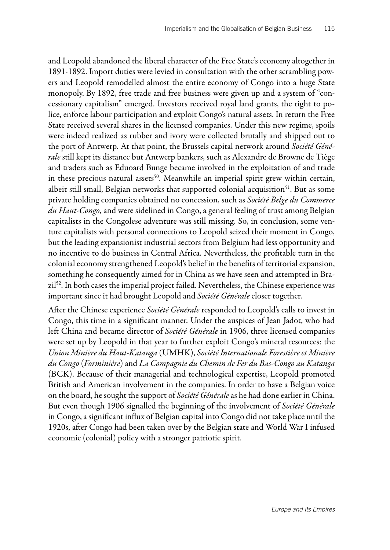and Leopold abandoned the liberal character of the Free State's economy altogether in 1891-1892. Import duties were levied in consultation with the other scrambling powers and Leopold remodelled almost the entire economy of Congo into a huge State monopoly. By 1892, free trade and free business were given up and a system of "concessionary capitalism" emerged. Investors received royal land grants, the right to police, enforce labour participation and exploit Congo's natural assets. In return the Free State received several shares in the licensed companies. Under this new regime, spoils were indeed realized as rubber and ivory were collected brutally and shipped out to the port of Antwerp. At that point, the Brussels capital network around Société Générale still kept its distance but Antwerp bankers, such as Alexandre de Browne de Tiège and traders such as Eduoard Bunge became involved in the exploitation of and trade in these precious natural assets<sup>50</sup>. Meanwhile an imperial spirit grew within certain, albeit still small, Belgian networks that supported colonial acquisition<sup>51</sup>. But as some private holding companies obtained no concession, such as Société Belge du Commerce du Haut-Congo, and were sidelined in Congo, a general feeling of trust among Belgian capitalists in the Congolese adventure was still missing. So, in conclusion, some venture capitalists with personal connections to Leopold seized their moment in Congo, but the leading expansionist industrial sectors from Belgium had less opportunity and no incentive to do business in Central Africa. Nevertheless, the profitable turn in the colonial economy strengthened Leopold's belief in the benefits of territorial expansion, something he consequently aimed for in China as we have seen and attempted in Brazil<sup>52</sup>. In both cases the imperial project failed. Nevertheless, the Chinese experience was important since it had brought Leopold and Société Générale closer together.

After the Chinese experience Société Générale responded to Leopold's calls to invest in Congo, this time in a significant manner. Under the auspices of Jean Jadot, who had left China and became director of Société Générale in 1906, three licensed companies were set up by Leopold in that year to further exploit Congo's mineral resources: the Union Minière du Haut-Katanga (UMHK), Société Internationale Forestière et Minière du Congo (Forminière) and La Compagnie du Chemin de Fer du Bas-Congo au Katanga (BCK). Because of their managerial and technological expertise, Leopold promoted British and American involvement in the companies. In order to have a Belgian voice on the board, he sought the support of Société Générale as he had done earlier in China. But even though 1906 signalled the beginning of the involvement of Société Générale in Congo, a significant influx of Belgian capital into Congo did not take place until the 1920s, after Congo had been taken over by the Belgian state and World War I infused economic (colonial) policy with a stronger patriotic spirit.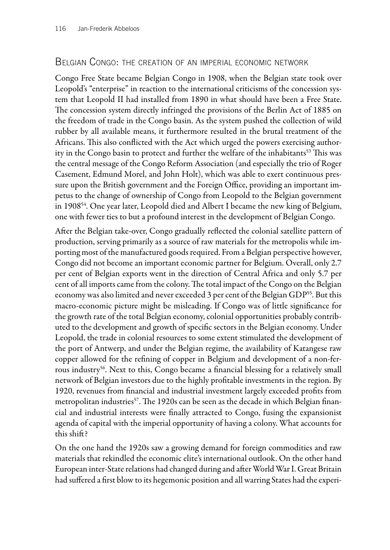#### BELGIAN CONGO: THE CREATION OF AN IMPERIAL ECONOMIC NETWORK

Congo Free State became Belgian Congo in 1908, when the Belgian state took over Leopold's "enterprise" in reaction to the international criticisms of the concession system that Leopold II had installed from 1890 in what should have been a Free State. The concession system directly infringed the provisions of the Berlin Act of 1885 on the freedom of trade in the Congo basin. As the system pushed the collection of wild rubber by all available means, it furthermore resulted in the brutal treatment of the Africans. This also conflicted with the Act which urged the powers exercising authority in the Congo basin to protect and further the welfare of the inhabitants<sup>53</sup> This was the central message of the Congo Reform Association (and especially the trio of Roger Casement, Edmund Morel, and John Holt), which was able to exert continuous pressure upon the British government and the Foreign Office, providing an important impetus to the change of ownership of Congo from Leopold to the Belgian government in 1908<sup>54</sup>. One year later, Leopold died and Albert I became the new king of Belgium, one with fewer ties to but a profound interest in the development of Belgian Congo.

After the Belgian take-over, Congo gradually reflected the colonial satellite pattern of production, serving primarily as a source of raw materials for the metropolis while importing most of the manufactured goods required. From a Belgian perspective however, Congo did not become an important economic partner for Belgium. Overall, only 2.7 per cent of Belgian exports went in the direction of Central Africa and only 5.7 per cent of all imports came from the colony. The total impact of the Congo on the Belgian economy was also limited and never exceeded 3 per cent of the Belgian GDP<sup>55</sup>. But this macro-economic picture might be misleading. If Congo was of little significance for the growth rate of the total Belgian economy, colonial opportunities probably contributed to the development and growth of specific sectors in the Belgian economy. Under Leopold, the trade in colonial resources to some extent stimulated the development of the port of Antwerp, and under the Belgian regime, the availability of Katangese raw copper allowed for the refining of copper in Belgium and development of a non-ferrous industry<sup>56</sup>. Next to this, Congo became a financial blessing for a relatively small network of Belgian investors due to the highly profitable investments in the region. By 1920, revenues from financial and industrial investment largely exceeded profits from metropolitan industries<sup>57</sup>. The 1920s can be seen as the decade in which Belgian financial and industrial interests were finally attracted to Congo, fusing the expansionist agenda of capital with the imperial opportunity of having a colony. What accounts for this shift?

On the one hand the 1920s saw a growing demand for foreign commodities and raw materials that rekindled the economic elite's international outlook. On the other hand European inter-State relations had changed during and after World War I. Great Britain had suffered a first blow to its hegemonic position and all warring States had the experi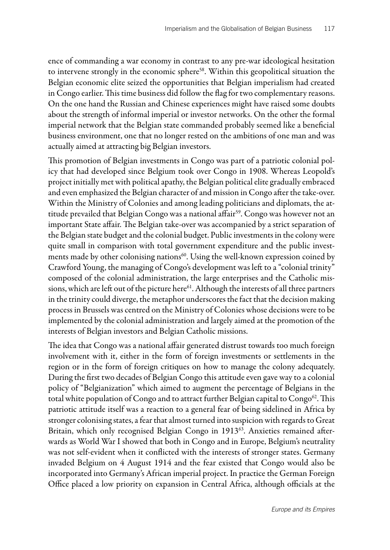ence of commanding a war economy in contrast to any pre-war ideological hesitation to intervene strongly in the economic sphere<sup>58</sup>. Within this geopolitical situation the Belgian economic elite seized the opportunities that Belgian imperialism had created in Congo earlier. This time business did follow the flag for two complementary reasons. On the one hand the Russian and Chinese experiences might have raised some doubts about the strength of informal imperial or investor networks. On the other the formal imperial network that the Belgian state commanded probably seemed like a beneficial business environment, one that no longer rested on the ambitions of one man and was actually aimed at attracting big Belgian investors.

This promotion of Belgian investments in Congo was part of a patriotic colonial policy that had developed since Belgium took over Congo in 1908. Whereas Leopold's project initially met with political apathy, the Belgian political elite gradually embraced and even emphasized the Belgian character of and mission in Congo after the take-over. Within the Ministry of Colonies and among leading politicians and diplomats, the attitude prevailed that Belgian Congo was a national affair<sup>59</sup>. Congo was however not an important State affair. The Belgian take-over was accompanied by a strict separation of the Belgian state budget and the colonial budget. Public investments in the colony were quite small in comparison with total government expenditure and the public investments made by other colonising nations<sup>60</sup>. Using the well-known expression coined by Crawford Young, the managing of Congo's development was left to a "colonial trinity" composed of the colonial administration, the large enterprises and the Catholic missions, which are left out of the picture here<sup>61</sup>. Although the interests of all three partners in the trinity could diverge, the metaphor underscores the fact that the decision making process in Brussels was centred on the Ministry of Colonies whose decisions were to be implemented by the colonial administration and largely aimed at the promotion of the interests of Belgian investors and Belgian Catholic missions.

The idea that Congo was a national affair generated distrust towards too much foreign involvement with it, either in the form of foreign investments or settlements in the region or in the form of foreign critiques on how to manage the colony adequately. During the first two decades of Belgian Congo this attitude even gave way to a colonial policy of "Belgianization" which aimed to augment the percentage of Belgians in the total white population of Congo and to attract further Belgian capital to  $\text{Congo}^{62}$ . This patriotic attitude itself was a reaction to a general fear of being sidelined in Africa by stronger colonising states, a fear that almost turned into suspicion with regards to Great Britain, which only recognised Belgian Congo in 1913<sup>63</sup>. Anxieties remained afterwards as World War I showed that both in Congo and in Europe, Belgium's neutrality was not self-evident when it conflicted with the interests of stronger states. Germany invaded Belgium on 4 August 1914 and the fear existed that Congo would also be incorporated into Germany's African imperial project. In practice the German Foreign Office placed a low priority on expansion in Central Africa, although officials at the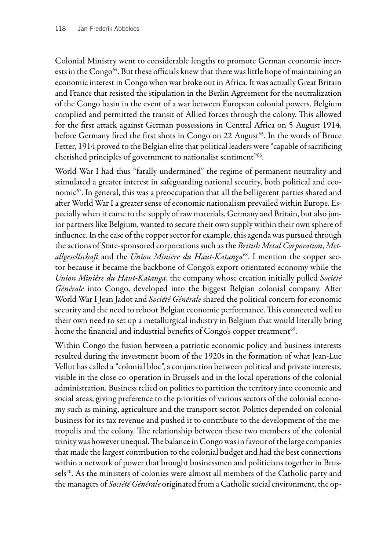Colonial Ministry went to considerable lengths to promote German economic interests in the Congo<sup>64</sup>. But these officials knew that there was little hope of maintaining an economic interest in Congo when war broke out in Africa. It was actually Great Britain and France that resisted the stipulation in the Berlin Agreement for the neutralization of the Congo basin in the event of a war between European colonial powers. Belgium complied and permitted the transit of Allied forces through the colony. This allowed for the first attack against German possessions in Central Africa on 5 August 1914, before Germany fired the first shots in Congo on 22 August<sup>65</sup>. In the words of Bruce Fetter, 1914 proved to the Belgian elite that political leaders were "capable of sacrificing cherished principles of government to nationalist sentiment"<sup>66</sup> .

World War I had thus "fatally undermined" the regime of permanent neutrality and stimulated a greater interest in safeguarding national security, both political and economic<sup>67</sup>. In general, this was a preoccupation that all the belligerent parties shared and after World War I a greater sense of economic nationalism prevailed within Europe. Especially when it came to the supply of raw materials, Germany and Britain, but also junior partners like Belgium, wanted to secure their own supply within their own sphere of influence. In the case of the copper sector for example, this agenda was pursued through the actions of State-sponsored corporations such as the British Metal Corporation, Metallgesellschaft and the Union Minière du Haut-Katanga<sup>68</sup>. I mention the copper sector because it became the backbone of Congo's export-orientated economy while the Union Minière du Haut-Katanga, the company whose creation initially pulled Société Générale into Congo, developed into the biggest Belgian colonial company. After World War I Jean Jadot and Société Générale shared the political concern for economic security and the need to reboot Belgian economic performance. This connected well to their own need to set up a metallurgical industry in Belgium that would literally bring home the financial and industrial benefits of Congo's copper treatment $^{\rm 69}$ .

Within Congo the fusion between a patriotic economic policy and business interests resulted during the investment boom of the 1920s in the formation of what Jean-Luc Vellut has called a "colonial bloc", a conjunction between political and private interests, visible in the close co-operation in Brussels and in the local operations of the colonial administration. Business relied on politics to partition the territory into economic and social areas, giving preference to the priorities of various sectors of the colonial economy such as mining, agriculture and the transport sector. Politics depended on colonial business for its tax revenue and pushed it to contribute to the development of the metropolis and the colony. The relationship between these two members of the colonial trinity was however unequal. The balance in Congo was in favour of the large companies that made the largest contribution to the colonial budget and had the best connections within a network of power that brought businessmen and politicians together in Brussels<sup>70</sup>. As the ministers of colonies were almost all members of the Catholic party and the managers of *Société Générale* originated from a Catholic social environment, the op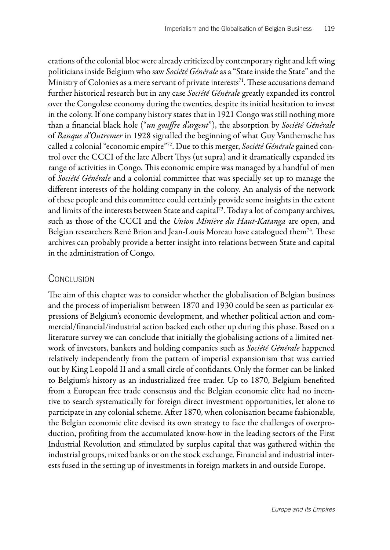erations of the colonial bloc were already criticized by contemporary right and left wing politicians inside Belgium who saw Société Générale as a "State inside the State" and the Ministry of Colonies as a mere servant of private interests<sup>71</sup>. These accusations demand further historical research but in any case Société Générale greatly expanded its control over the Congolese economy during the twenties, despite its initial hesitation to invest in the colony. If one company history states that in 1921 Congo was still nothing more than a financial black hole ("un gouffre d'argent"), the absorption by Société Générale of Banque d'Outremer in 1928 signalled the beginning of what Guy Vanthemsche has called a colonial "economic empire"72. Due to this merger, Société Générale gained control over the CCCI of the late Albert Thys (ut supra) and it dramatically expanded its range of activities in Congo. This economic empire was managed by a handful of men of Société Générale and a colonial committee that was specially set up to manage the different interests of the holding company in the colony. An analysis of the network of these people and this committee could certainly provide some insights in the extent and limits of the interests between State and capital<sup>73</sup>. Today a lot of company archives, such as those of the CCCI and the Union Minière du Haut-Katanga are open, and Belgian researchers René Brion and Jean-Louis Moreau have catalogued them<sup>74</sup>. These archives can probably provide a better insight into relations between State and capital in the administration of Congo.

#### **CONCLUSION**

The aim of this chapter was to consider whether the globalisation of Belgian business and the process of imperialism between 1870 and 1930 could be seen as particular expressions of Belgium's economic development, and whether political action and commercial/financial/industrial action backed each other up during this phase. Based on a literature survey we can conclude that initially the globalising actions of a limited network of investors, bankers and holding companies such as *Société Générale* happened relatively independently from the pattern of imperial expansionism that was carried out by King Leopold II and a small circle of confidants. Only the former can be linked to Belgium's history as an industrialized free trader. Up to 1870, Belgium benefited from a European free trade consensus and the Belgian economic elite had no incentive to search systematically for foreign direct investment opportunities, let alone to participate in any colonial scheme. After 1870, when colonisation became fashionable, the Belgian economic elite devised its own strategy to face the challenges of overproduction, profiting from the accumulated know-how in the leading sectors of the First Industrial Revolution and stimulated by surplus capital that was gathered within the industrial groups, mixed banks or on the stock exchange. Financial and industrial interests fused in the setting up of investments in foreign markets in and outside Europe.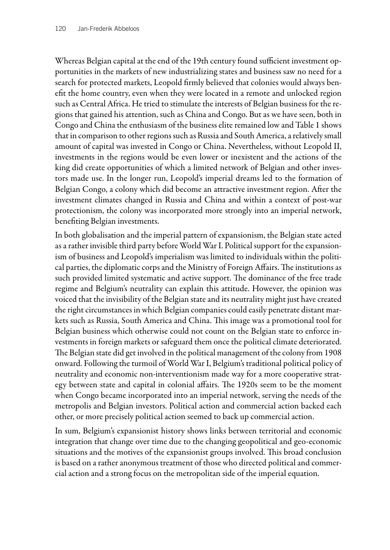Whereas Belgian capital at the end of the 19th century found sufficient investment opportunities in the markets of new industrializing states and business saw no need for a search for protected markets, Leopold firmly believed that colonies would always benefit the home country, even when they were located in a remote and unlocked region such as Central Africa. He tried to stimulate the interests of Belgian business for the regions that gained his attention, such as China and Congo. But as we have seen, both in Congo and China the enthusiasm of the business elite remained low and Table 1 shows that in comparison to other regions such as Russia and South America, a relatively small amount of capital was invested in Congo or China. Nevertheless, without Leopold II, investments in the regions would be even lower or inexistent and the actions of the king did create opportunities of which a limited network of Belgian and other investors made use. In the longer run, Leopold's imperial dreams led to the formation of Belgian Congo, a colony which did become an attractive investment region. After the investment climates changed in Russia and China and within a context of post-war protectionism, the colony was incorporated more strongly into an imperial network, benefiting Belgian investments.

In both globalisation and the imperial pattern of expansionism, the Belgian state acted as a rather invisible third party before World War I. Political support for the expansionism of business and Leopold's imperialism was limited to individuals within the political parties, the diplomatic corps and the Ministry of Foreign Affairs. The institutions as such provided limited systematic and active support. The dominance of the free trade regime and Belgium's neutrality can explain this attitude. However, the opinion was voiced that the invisibility of the Belgian state and its neutrality might just have created the right circumstances in which Belgian companies could easily penetrate distant markets such as Russia, South America and China. This image was a promotional tool for Belgian business which otherwise could not count on the Belgian state to enforce investments in foreign markets or safeguard them once the political climate deteriorated. The Belgian state did get involved in the political management of the colony from 1908 onward. Following the turmoil of World War I, Belgium's traditional political policy of neutrality and economic non-interventionism made way for a more cooperative strategy between state and capital in colonial affairs. The 1920s seem to be the moment when Congo became incorporated into an imperial network, serving the needs of the metropolis and Belgian investors. Political action and commercial action backed each other, or more precisely political action seemed to back up commercial action.

In sum, Belgium's expansionist history shows links between territorial and economic integration that change over time due to the changing geopolitical and geo-economic situations and the motives of the expansionist groups involved. This broad conclusion is based on a rather anonymous treatment of those who directed political and commercial action and a strong focus on the metropolitan side of the imperial equation.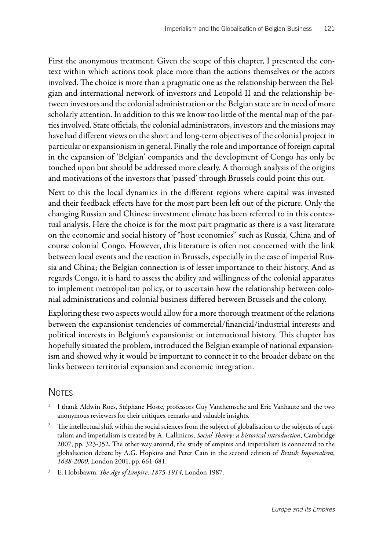First the anonymous treatment. Given the scope of this chapter, I presented the context within which actions took place more than the actions themselves or the actors involved. The choice is more than a pragmatic one as the relationship between the Belgian and international network of investors and Leopold II and the relationship between investors and the colonial administration or the Belgian state are in need of more scholarly attention. In addition to this we know too little of the mental map of the parties involved. State officials, the colonial administrators, investors and the missions may have had different views on the short and long-term objectives of the colonial project in particular or expansionism in general. Finally the role and importance of foreign capital in the expansion of 'Belgian' companies and the development of Congo has only be touched upon but should be addressed more clearly. A thorough analysis of the origins and motivations of the investors that 'passed' through Brussels could point this out.

Next to this the local dynamics in the different regions where capital was invested and their feedback effects have for the most part been left out of the picture. Only the changing Russian and Chinese investment climate has been referred to in this contextual analysis. Here the choice is for the most part pragmatic as there is a vast literature on the economic and social history of "host economies" such as Russia, China and of course colonial Congo. However, this literature is often not concerned with the link between local events and the reaction in Brussels, especially in the case of imperial Russia and China; the Belgian connection is of lesser importance to their history. And as regards Congo, it is hard to assess the ability and willingness of the colonial apparatus to implement metropolitan policy, or to ascertain how the relationship between colonial administrations and colonial business differed between Brussels and the colony.

Exploring these two aspects would allow for a more thorough treatment of the relations between the expansionist tendencies of commercial/financial/industrial interests and political interests in Belgium's expansionist or international history. This chapter has hopefully situated the problem, introduced the Belgian example of national expansionism and showed why it would be important to connect it to the broader debate on the links between territorial expansion and economic integration.

# **NOTES**

- 1 I thank Aldwin Roes, Stéphane Hoste, professors Guy Vanthemsche and Eric Vanhaute and the two anonymous reviewers for their critiques, remarks and valuable insights.
- 2 The intellectual shift within the social sciences from the subject of globalisation to the subjects of capitalism and imperialism is treated by A. Callinicos, Social Theory: a historical introduction, Cambridge 2007, pp. 323-352. The other way around, the study of empires and imperialism is connected to the globalisation debate by A.G. Hopkins and Peter Cain in the second edition of British Imperialism, 1688-2000, London 2001, pp. 661-681.
- <sup>3</sup> E. Hobsbawm, *The Age of Empire: 1875-1914*, London 1987.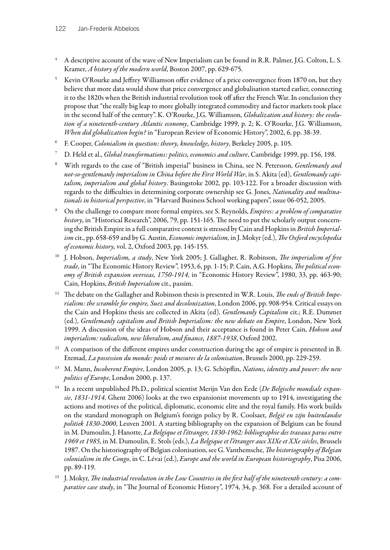- 4 A descriptive account of the wave of New Imperialism can be found in R.R. Palmer, J.G. Colton, L. S. Kramer, A history of the modern world, Boston 2007, pp. 629-675.
- 5 Kevin O'Rourke and Jeffrey Williamson offer evidence of a price convergence from 1870 on, but they believe that more data would show that price convergence and globalisation started earlier, connecting it to the 1820s when the British industrial revolution took off after the French War. In conclusion they propose that "the really big leap to more globally integrated commodity and factor markets took place in the second half of the century". K. O'Rourke, J.G. Williamson, *Globalization and history: the evolu*tion of a nineteenth-century Atlantic economy, Cambridge 1999, p. 2; K. O'Rourke, J.G. Williamson, When did globalization begin? in "European Review of Economic History", 2002, 6, pp. 38-39.
- $^{\rm 6}$   $\,$  F. Cooper, *Colonialism in question: theory, knowledge, history,* Berkeley 2005, p. 105.
- 7 D. Held et al., Global transformations: politics, economics and culture, Cambridge 1999, pp. 156, 198.
- <sup>8</sup> With regards to the case of "British imperial" business in China, see N. Petersson, *Gentlemanly and* not-so-gentlemanly imperialism in China before the First World War, in S. Akita (ed), Gentlemanly capitalism, imperialism and global history. Basingstoke 2002, pp. 103-122. For a broader discussion with regards to the difficulties in determining corporate ownership see G. Jones, Nationality and multinationals in historical perspective, in "Harvard Business School working papers", issue 06-052, 2005.
- 9 On the challenge to compare more formal empires, see S. Reynolds, Empires: a problem of comparative history, in "Historical Research", 2006, 79, pp. 151-165. The need to put the scholarly output concerning the British Empire in a full comparative context is stressed by Cain and Hopkins in British Imperialism cit., pp. 658-659 and by G. Austin, *Economic imperialism*, in J. Mokyr (ed.), *The Oxford encyclopedia* of economic history, vol. 2, Oxford 2003, pp. 145-155.
- J. Hobson, Imperialism, a study, New York 2005; J. Gallagher, R. Robinson, The imperialism of free trade, in "The Economic History Review", 1953, 6, pp. 1-15; P. Cain, A.G. Hopkins, The political economy of British expansion overseas, 1750-1914, in "Economic History Review", 1980, 33, pp. 463-90; Cain, Hopkins, British Imperialism cit., passim.
- <sup>11</sup> The debate on the Gallagher and Robinson thesis is presented in W.R. Louis, *The ends of British Impe*rialism: the scramble for empire, Suez and decolonization, London 2006, pp. 908-954. Critical essays on the Cain and Hopkins thesis are collected in Akita (ed), Gentlemanly Capitalism cit.; R.E. Dummet (ed.), Gentlemanly capitalism and British Imperialism: the new debate on Empire, London, New York 1999. A discussion of the ideas of Hobson and their acceptance is found in Peter Cain, Hobson and imperialism: radicalism, new liberalism, and finance, 1887-1938, Oxford 2002.
- $12$  A comparison of the different empires under construction during the age of empire is presented in B. Etemad, La possession du monde: poids et mesures de la colonisation, Brussels 2000, pp. 229-259.
- <sup>13</sup> M. Mann, *Incoherent Empire*, London 2005, p. 13; G. Schöpflin, *Nations, identity and power: the new* politics of Europe, London 2000, p. 137.
- <sup>14</sup> In a recent unpublished Ph.D., political scientist Merijn Van den Eede (De Belgische mondiale expansie, 1831-1914, Ghent 2006) looks at the two expansionist movements up to 1914, investigating the actions and motives of the political, diplomatic, economic elite and the royal family. His work builds on the standard monograph on Belgium's foreign policy by R. Coolsaet, België en zijn buitenlandse politiek 1830-2000, Leuven 2001. A starting bibliography on the expansion of Belgium can be found in M. Dumoulin, J. Hanotte, La Belgique et l'étranger, 1830-1962: bibliographie des travaux parus entre 1969 et 1985, in M. Dumoulin, E. Stols (eds.), La Belgique et l'étranger aux XIXe et XXe siècles, Brussels 1987. On the historiography of Belgian colonisation, see G. Vanthemsche, The historiography of Belgian colonialism in the Congo, in C. Lévai (ed.), Europe and the world in European historiography, Pisa 2006, pp. 89-119.
- $15$  J. Mokyr, The industrial revolution in the Low Countries in the first half of the nineteenth century: a comparative case study, in "The Journal of Economic History", 1974, 34, p. 368. For a detailed account of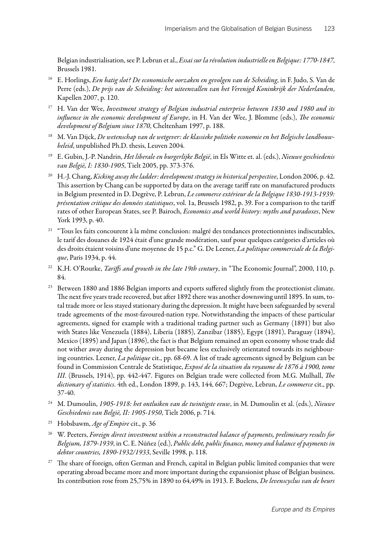Belgian industrialisation, see P. Lebrun et al., Essai sur la révolution industrielle en Belgique: 1770-1847, Brussels 1981.

- <sup>16</sup> E. Horlings, *Een batig slot? De economische oorzaken en gevolgen van de Scheiding*, in F. Judo, S. Van de Perre (eds.), De prijs van de Scheiding: het uiteenvallen van het Verenigd Koninkrijk der Nederlanden, Kapellen 2007, p. 120.
- <sup>17</sup> H. Van der Wee, Investment strategy of Belgian industrial enterprise between 1830 and 1980 and its influence in the economic development of Europe, in H. Van der Wee, J. Blomme (eds.), The economic development of Belgium since 1870, Cheltenham 1997, p. 188.
- <sup>18</sup> M. Van Dijck, De wetenschap van de wetgever: de klassieke politieke economie en het Belgische landbouwbeleid, unpublished Ph.D. thesis, Leuven 2004.
- <sup>19</sup> E. Gubin, J.-P. Nandrin, Het liberale en burgerlijke België, in Els Witte et. al. (eds.), Nieuwe geschiedenis van België, I: 1830-1905, Tielt 2005, pp. 373-376.
- <sup>20</sup> H.-J. Chang, *Kicking away the ladder: development strategy in historical perspective*, London 2006, p. 42. This assertion by Chang can be supported by data on the average tariff rate on manufactured products in Belgium presented in D. Degrève, P. Lebrun, Le commerce extérieur de la Belgique 1830-1913-1939: présentation critique des données statistiques, vol. 1a, Brussels 1982, p. 39. For a comparison to the tariff rates of other European States, see P. Bairoch, *Economics and world history: myths and paradoxes*, New York 1993, p. 40.
- <sup>21</sup> "Tous les faits concourent à la même conclusion: malgré des tendances protectionnistes indiscutables, le tarif des douanes de 1924 était d'une grande modération, sauf pour quelques catégories d'articles où des droits étaient voisins d'une moyenne de 15 p.c." G. De Leener, La politique commerciale de la Belgique, Paris 1934, p. 44.
- <sup>22</sup> K.H. O'Rourke, *Tariffs and growth in the late 19th century*, in "The Economic Journal", 2000, 110, p. 84.
- <sup>23</sup> Between 1880 and 1886 Belgian imports and exports suffered slightly from the protectionist climate. The next five years trade recovered, but after 1892 there was another downswing until 1895. In sum, total trade more or less stayed stationary during the depression. It might have been safeguarded by several trade agreements of the most-favoured-nation type. Notwithstanding the impacts of these particular agreements, signed for example with a traditional trading partner such as Germany (1891) but also with States like Venezuela (1884), Liberia (1885), Zanzibar (1885), Egypt (1891), Paraguay (1894), Mexico (1895) and Japan (1896), the fact is that Belgium remained an open economy whose trade did not wither away during the depression but became less exclusively orientated towards its neighbouring countries. Leener, La politique cit., pp. 68-69. A list of trade agreements signed by Belgium can be found in Commission Centrale de Statistique, Exposé de la situation du royaume de 1876 à 1900, tome III. (Brussels, 1914), pp. 442-447. Figures on Belgian trade were collected from M.G. Mulhall, The dictionary of statistics. 4th ed., London 1899, p. 143, 144, 667; Degrève, Lebrun, Le commerce cit., pp. 37-40.
- <sup>24</sup> M. Dumoulin, 1905-1918: het ontluiken van de twintigste eeuw, in M. Dumoulin et al. (eds.), Nieuwe Geschiedenis van België, II: 1905-1950, Tielt 2006, p. 714.
- <sup>25</sup> Hobsbawm, *Age of Empire* cit., p. 36
- <sup>26</sup> W. Peeters, Foreign direct investment within a reconstructed balance of payments, preliminary results for Belgium, 1879-1939, in C. E. Núñez (ed.), Public debt, public finance, money and balance of payments in debtor countries, 1890-1932/1933, Seville 1998, p. 118.
- <sup>27</sup> The share of foreign, often German and French, capital in Belgian public limited companies that were operating abroad became more and more important during the expansionist phase of Belgian business. Its contribution rose from 25,75% in 1890 to 64,49% in 1913. F. Buelens, De levenscyclus van de beurs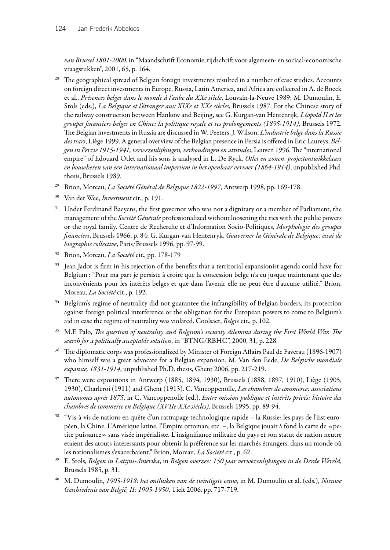van Brussel 1801-2000, in "Maandschrift Economie, tijdschrift voor algemeen- en sociaal-economische vraagstukken", 2001, 65, p. 164.

- <sup>28</sup> The geographical spread of Belgian foreign investments resulted in a number of case studies. Accounts on foreign direct investments in Europe, Russia, Latin America, and Africa are collected in A. de Boeck et al., Présences belges dans le monde à l'aube du XXe siècle, Louvain-la-Neuve 1989; M. Dumoulin, E. Stols (eds.), La Belgique et l'étranger aux XIXe et XXe siècles, Brussels 1987. For the Chinese story of the railway construction between Hankow and Beijing, see G. Kurgan-van Hentenrijk, *Léopold II et les* groupes financiers belges en Chine: la politique royale et ses prolongements (1895-1914), Brussels 1972. The Belgian investments in Russia are discussed in W. Peeters, J. Wilson, L'industrie belge dans la Russie des tsars, Liège 1999. A general overview of the Belgian presence in Persia is offered in Eric Laureys, Belgen in Perzië 1915-1941, verwezenlijkingen, verhoudingen en attitudes, Leuven 1996. The "international empire" of Edouard Otlet and his sons is analysed in L. De Ryck, Otlet en zonen, projectontwikkelaars en bouwheren van een internationaal imperium in het openbaar vervoer (1864-1914), unpublished Phd. thesis, Brussels 1989.
- <sup>29</sup> Brion, Moreau, *La Société Général de Belgique 1822-1997*, Antwerp 1998, pp. 169-178.
- <sup>30</sup> Van der Wee, Investment cit., p. 191.
- <sup>31</sup> Under Ferdinand Baeyens, the first governor who was not a dignitary or a member of Parliament, the management of the *Société Générale* professionalized without loosening the ties with the public powers or the royal family. Centre de Recherche et d'Information Socio-Politiques, Morphologie des groupes financiers, Brussels 1966, p. 84; G. Kurgan-van Hentenryk, Gouverner la Générale de Belgique: essai de biographie collective, Paris/Brussels 1996, pp. 97-99.
- <sup>32</sup> Brion, Moreau, *La Société* cit., pp. 178-179
- <sup>33</sup> Jean Jadot is firm in his rejection of the benefits that a territorial expansionist agenda could have for Belgium : "Pour ma part je persiste à croire que la concession belge n'a eu jusque maintenant que des inconvénients pour les intérêts belges et que dans l'avenir elle ne peut être d'aucune utilité." Brion, Moreau, La Société cit., p. 192.
- <sup>34</sup> Belgium's regime of neutrality did not guarantee the infrangibility of Belgian borders, its protection against foreign political interference or the obligation for the European powers to come to Belgium's aid in case the regime of neutrality was violated. Coolsaet, België cit., p. 102.
- <sup>35</sup> M.F. Palo, *The question of neutrality and Belgium's security dilemma during the First World War. The* search for a politically acceptable solution, in "BTNG/RBHC", 2000, 31, p. 228.
- <sup>36</sup> The diplomatic corps was professionalized by Minister of Foreign Affairs Paul de Faverau (1896-1907) who himself was a great advocate for a Belgian expansion. M. Van den Eede, De Belgische mondiale expansie, 1831-1914, unpublished Ph.D. thesis, Ghent 2006, pp. 217-219.
- <sup>37</sup> There were expositions in Antwerp (1885, 1894, 1930), Brussels (1888, 1897, 1910), Liège (1905, 1930), Charleroi (1911) and Ghent (1913). C. Vancoppenolle, Les chambres de commerce: associations autonomes après 1875, in C. Vancoppenolle (ed.), Entre mission publique et intérêts privés: histoire des chambres de commerce en Belgique (XVIIe-XXe siècles), Brussels 1995, pp. 89-94.
- <sup>38</sup> "Vis-à-vis de nations en quête d'un rattrapage technologique rapide la Russie; les pays de l'Est européen, la Chine, L'Amérique latine, l'Empire ottoman, etc. –, la Belgique jouait à fond la carte de «petite puissance» sans visée impérialiste. L'insignifiance militaire du pays et son statut de nation neutre étaient des atouts intéressants pour obtenir la préférence sur les marchés étrangers, dans un monde où les nationalismes s'exacerbaient." Brion, Moreau, La Société cit., p. 62.
- <sup>39</sup> E. Stols, Belgen in Latijns-Amerika, in Belgen overzee: 150 jaar verwezenlijkingen in de Derde Wereld, Brussels 1985, p. 31.
- <sup>40</sup> M. Dumoulin, 1905-1918: het ontluiken van de twintigste eeuw, in M. Dumoulin et al. (eds.), Nieuwe Geschiedenis van België, II: 1905-1950, Tielt 2006, pp. 717-719.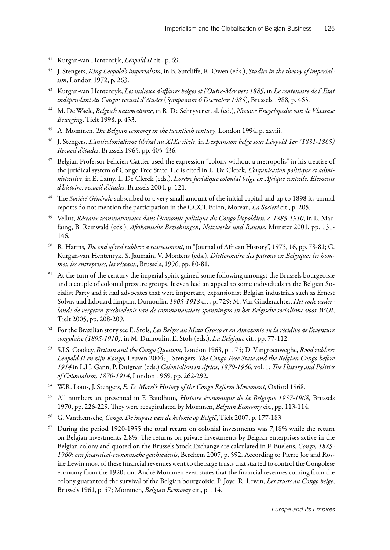- <sup>41</sup> Kurgan-van Hentenrijk, *Léopold II* cit., p. 69.
- $42$  J. Stengers, King Leopold's imperialism, in B. Sutcliffe, R. Owen (eds.), Studies in the theory of imperialism, London 1972, p. 263.
- <sup>43</sup> Kurgan-van Hentenryk, Les milieux d'affaires belges et l'Outre-Mer vers 1885, in Le centenaire de l'Etat indépendant du Congo: recueil d' études (Symposium 6 December 1985), Brussels 1988, p. 463.
- <sup>44</sup> M. De Waele, Belgisch nationalisme, in R. De Schryver et. al. (ed.), Nieuwe Encyclopedie van de Vlaamse Beweging, Tielt 1998, p. 433.
- $45$  A. Mommen, The Belgian economy in the twentieth century, London 1994, p. xxviii.
- <sup>46</sup> J. Stengers, L'anticolonialisme libéral au XIXe siècle, in L'expansion belge sous Léopold 1er (1831-1865) Recueil d'études, Brussels 1965, pp. 405-436.
- <sup>47</sup> Belgian Professor Félicien Cattier used the expression "colony without a metropolis" in his treatise of the juridical system of Congo Free State. He is cited in L. De Clerck, L'organisation politique et administrative, in E. Lamy, L. De Clerck (eds.), L'ordre juridique colonial belge en Afrique centrale. Elements d'histoire: recueil d'études, Brussels 2004, p. 121.
- <sup>48</sup> The Société Générale subscribed to a very small amount of the initial capital and up to 1898 its annual reports do not mention the participation in the CCCI. Brion, Moreau, La Société cit., p. 205.
- <sup>49</sup> Vellut, Réseaux transnationaux dans l'économie politique du Congo léopoldien, c. 1885-1910, in L. Marfaing, B. Reinwald (eds.), Afrikanische Beziehungen, Netzwerke und Räume, Münster 2001, pp. 131- 146.
- 50 R. Harms, The end of red rubber: a reassessment, in "Journal of African History", 1975, 16, pp. 78-81; G. Kurgan-van Hentenryk, S. Jaumain, V. Montens (eds.), Dictionnaire des patrons en Belgique: les hommes, les entreprises, les réseaux, Brussels, 1996, pp. 80-81.
- <sup>51</sup> At the turn of the century the imperial spirit gained some following amongst the Brussels bourgeoisie and a couple of colonial pressure groups. It even had an appeal to some individuals in the Belgian Socialist Party and it had advocates that were important, expansionist Belgian industrials such as Ernest Solvay and Edouard Empain. Dumoulin, 1905-1918 cit., p. 729; M. Van Ginderachter, Het rode vaderland: de vergeten geschiedenis van de communautiare spanningen in het Belgische socialisme voor WOI, Tielt 2005, pp. 208-209.
- 52 For the Brazilian story see E. Stols, Les Belges au Mato Grosso et en Amazonie ou la récidive de l'aventure congolaise (1895-1910), in M. Dumoulin, E. Stols (eds.), La Belgique cit., pp. 77-112.
- 53 S.J.S. Cookey, Britain and the Congo Question, London 1968, p. 175; D. Vangroenweghe, Rood rubber: Leopold II en zijn Kongo, Leuven 2004; J. Stengers, The Congo Free State and the Belgian Congo before 1914 in L.H. Gann, P. Duignan (eds.) Colonialism in Africa, 1870-1960, vol. 1: The History and Politics of Colonialism, 1870-1914, London 1969, pp. 262-292.
- 54 W.R. Louis, J. Stengers, E. D. Morel's History of the Congo Reform Movement, Oxford 1968.
- <sup>55</sup> All numbers are presented in F. Baudhuin, *Histoire économique de la Belgique 1957-1968*, Brussels 1970, pp. 226-229. They were recapitulated by Mommen, Belgian Economy cit., pp. 113-114.
- <sup>56</sup> G. Vanthemsche, Congo. De impact van de kolonie op België, Tielt 2007, p. 177-183
- <sup>57</sup> During the period 1920-1955 the total return on colonial investments was 7,18% while the return on Belgian investments 2,8%. The returns on private investments by Belgian enterprises active in the Belgian colony and quoted on the Brussels Stock Exchange are calculated in F. Buelens, Congo, 1885-1960: een financieel-economische geschiedenis, Berchem 2007, p. 592. According to Pierre Joe and Rosine Lewin most of these financial revenues went to the large trusts that started to control the Congolese economy from the 1920s on. André Mommen even states that the financial revenues coming from the colony guaranteed the survival of the Belgian bourgeoisie. P. Joye, R. Lewin, Les trusts au Congo belge, Brussels 1961, p. 57; Mommen, Belgian Economy cit., p. 114.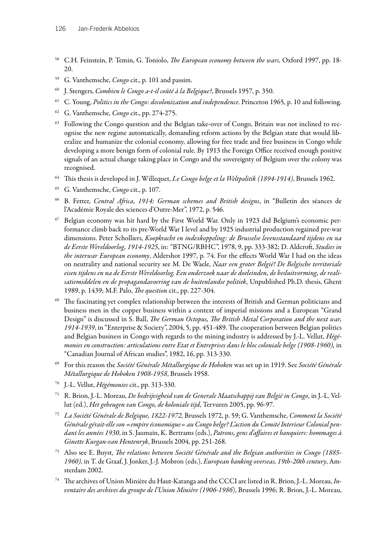- <sup>58</sup> C.H. Feinstein, P. Temin, G. Toniolo, *The European economy between the wars*, Oxford 1997, pp. 18-20.
- <sup>59</sup> G. Vanthemsche, Congo cit., p. 101 and passim.
- J. Stengers, Combien le Congo a-t-il coûté à la Belgique?, Brussels 1957, p. 350.
- <sup>61</sup> C. Young, Politics in the Congo: decolonization and independence. Princeton 1965, p. 10 and following.
- <sup>62</sup> G. Vanthemsche, Congo cit., pp. 274-275.
- <sup>63</sup> Following the Congo question and the Belgian take-over of Congo, Britain was not inclined to recognise the new regime automatically, demanding reform actions by the Belgian state that would liberalize and humanize the colonial economy, allowing for free trade and free business in Congo while developing a more benign form of colonial rule. By 1913 the Foreign Office received enough positive signals of an actual change taking place in Congo and the sovereignty of Belgium over the colony was recognised.
- <sup>64</sup> This thesis is developed in J. Willequet, Le Congo belge et la Weltpolitik (1894-1914), Brussels 1962.
- <sup>65</sup> G. Vanthemsche, Congo cit., p. 107.
- <sup>66</sup> B. Fetter, Central Africa, 1914: German schemes and British designs, in "Bulletin des séances de l'Académie Royale des sciences d'Outre-Mer", 1972, p. 546.
- 67 Belgian economy was hit hard by the First World War. Only in 1923 did Belgium's economic performance climb back to its pre-World War I level and by 1925 industrial production regained pre-war dimensions. Peter Scholliers, Koopkracht en indexkoppeling: de Brusselse levensstandaard tijdens en na de Eerste Wereldoorlog, 1914-1925, in: "BTNG/RBHC", 1978, 9, pp. 333-382; D. Aldcroft, Studies in the interwar European economy, Aldershot 1997, p. 74. For the effects World War I had on the ideas on neutrality and national security see M. De Waele, Naar een groter België! De Belgische territoriale eisen tijdens en na de Eerste Wereldoorlog. Een onderzoek naar de doeleinden, de besluitvorming, de realisatiemiddelen en de propagandavoering van de buitenlandse politiek, Unpublished Ph.D. thesis, Ghent 1989, p. 1439; M.F. Palo, The question cit., pp. 227-304.
- The fascinating yet complex relationship between the interests of British and German politicians and business men in the copper business within a context of imperial missions and a European "Grand Design" is discussed in S. Ball, The German Octopus, The British Metal Corporation and the next war, 1914-1939, in "Enterprise & Society", 2004, 5, pp. 451-489. The cooperation between Belgian politics and Belgian business in Congo with regards to the mining industry is addressed by J.-L. Vellut, Hégémonies en construction: articulations entre Etat et Entreprises dans le bloc coloniale belge (1908-1960), in "Canadian Journal of African studies", 1982, 16, pp. 313-330.
- <sup>69</sup> For this reason the Société Générale Métallurgique de Hoboken was set up in 1919. See Société Générale Métallurgique de Hoboken 1908-1958, Brussels 1958.
- <sup>70</sup> J.-L. Vellut, Hégémonies cit., pp. 313-330.
- <sup>71</sup> R. Brion, J.-L. Moreau, De bedrijvigheid van de Generale Maatschappij van België in Congo, in J.-L. Vellut (ed.), Het geheugen van Congo, de koloniale tijd, Tervuren 2005, pp. 96-97.
- $72$  La Société Générale de Belgique, 1822-1972, Brussels 1972, p. 59; G. Vanthemsche, Comment la Société Générale gérait-elle son «empire économique» au Congo belge? L'action du Comité Interieur Colonial pendant les années 1930, in S. Jaumain, K. Bertrams (eds.), Patrons, gens d'affaires et banquiers: hommages à Ginette Kurgan-van Hentenryk, Brussels 2004, pp. 251-268.
- <sup>73</sup> Also see E. Buyst, *The relations between Société Générale and the Belgian authorities in Congo* (1885-1960), in T. de Graaf, J. Jonker, J.-J. Mobron (eds.), European banking overseas, 19th-20th century, Amsterdam 2002.
- $^{74}$  The archives of Union Minière du Haut-Katanga and the CCCI are listed in R. Brion, J.-L. Moreau, Inventaire des archives du groupe de l'Union Minière (1906-1986), Brussels 1996; R. Brion, J.-L. Moreau,